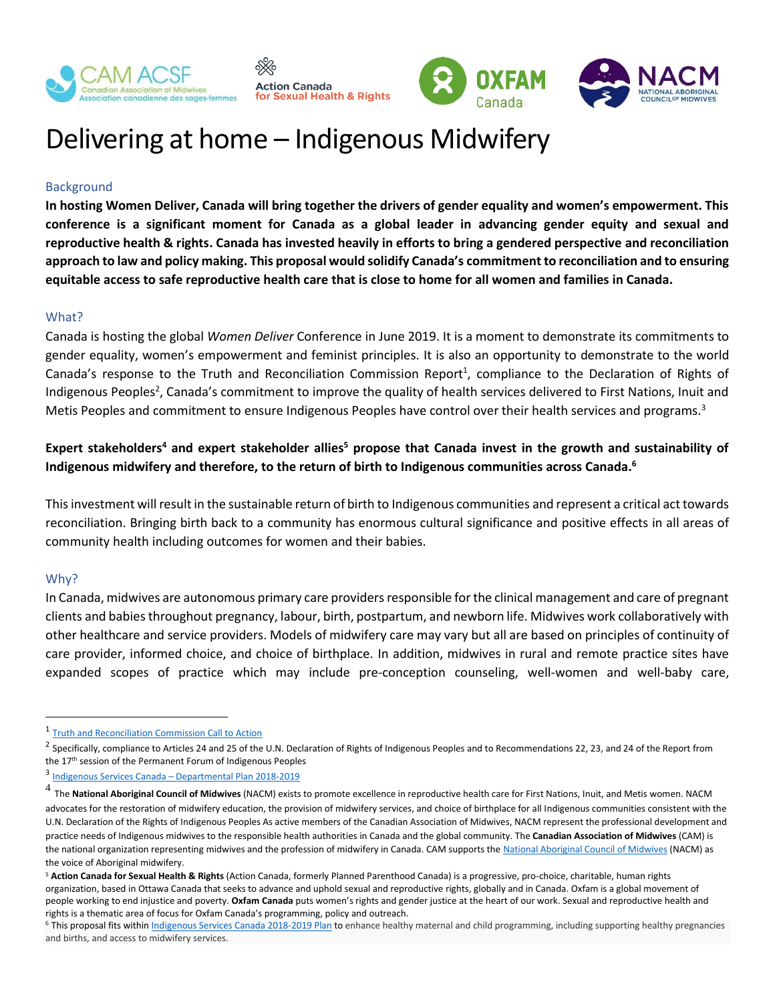



# Delivering at home – Indigenous Midwifery

**Sexual Health & Rights** 

## **Background**

**In hosting Women Deliver, Canada will bring together the drivers of gender equality and women's empowerment. This conference is a significant moment for Canada as a global leader in advancing gender equity and sexual and reproductive health & rights. Canada has invested heavily in efforts to bring a gendered perspective and reconciliation approach to law and policy making. This proposal would solidify Canada's commitment to reconciliation and to ensuring equitable access to safe reproductive health care that is close to home for all women and families in Canada.**

### What?

Canada is hosting the global *Women Deliver* Conference in June 2019. It is a moment to demonstrate its commitments to gender equality, women's empowerment and feminist principles. It is also an opportunity to demonstrate to the world Canada's response to the Truth and Reconciliation Commission Report<sup>1</sup>, compliance to the Declaration of Rights of Indigenous Peoples<sup>2</sup>, Canada's commitment to improve the quality of health services delivered to First Nations, Inuit and Metis Peoples and commitment to ensure Indigenous Peoples have control over their health services and programs.<sup>3</sup>

## **Expert stakeholders<sup>4</sup> and expert stakeholder allies<sup>5</sup> propose that Canada invest in the growth and sustainability of Indigenous midwifery and therefore, to the return of birth to Indigenous communities across Canada. 6**

This investment will result in the sustainable return of birth to Indigenous communities and represent a critical act towards reconciliation. Bringing birth back to a community has enormous cultural significance and positive effects in all areas of community health including outcomes for women and their babies.

#### Why?

 $\overline{a}$ 

In Canada, midwives are autonomous primary care providers responsible for the clinical management and care of pregnant clients and babies throughout pregnancy, labour, birth, postpartum, and newborn life. Midwives work collaboratively with other healthcare and service providers. Models of midwifery care may vary but all are based on principles of continuity of care provider, informed choice, and choice of birthplace. In addition, midwives in rural and remote practice sites have expanded scopes of practice which may include pre-conception counseling, well-women and well-baby care,

<sup>&</sup>lt;sup>1</sup> [Truth and Reconciliation Commission Call to Action](http://www.trc.ca/websites/trcinstitution/File/2015/Findings/Calls_to_Action_English2.pdf)

<sup>&</sup>lt;sup>2</sup> Specifically, compliance to Articles 24 and 25 of the U.N. Declaration of Rights of Indigenous Peoples and to Recommendations 22, 23, and 24 of the Report from the 17<sup>th</sup> session of the Permanent Forum of Indigenous Peoples

<sup>3</sup> Indigenous Services Canada – [Departmental Plan 2018-2019](https://www.sac-isc.gc.ca/eng/1523374573623/1523904791460?wbdisable=true#chp4)

<sup>4</sup> The **National Aboriginal Council of Midwives** (NACM) exists to promote excellence in reproductive health care for First Nations, Inuit, and Metis women. NACM advocates for the restoration of midwifery education, the provision of midwifery services, and choice of birthplace for all Indigenous communities consistent with the U.N. Declaration of the Rights of Indigenous Peoples As active members of the Canadian Association of Midwives, NACM represent the professional development and practice needs of Indigenous midwives to the responsible health authorities in Canada and the global community. The **Canadian Association of Midwives** (CAM) is the national organization representing midwives and the profession of midwifery in Canada. CAM supports the [National Aboriginal Council of Midwives](https://canadianmidwives.org/nacm/) (NACM) as the voice of Aboriginal midwifery.

<sup>5</sup> **Action Canada for Sexual Health & Rights** (Action Canada, formerly Planned Parenthood Canada) is a progressive, pro-choice, charitable, human rights organization, based in Ottawa Canada that seeks to advance and uphold sexual and reproductive rights, globally and in Canada. Oxfam is a global movement of people working to end injustice and poverty. **Oxfam Canada** puts women's rights and gender justice at the heart of our work. Sexual and reproductive health and rights is a thematic area of focus for Oxfam Canada's programming, policy and outreach.

<sup>&</sup>lt;sup>6</sup> This proposal fits within <u>Indigenous Services Canada 2018-2019 Plan</u> to enhance healthy maternal and child programming, including supporting healthy pregnancies and births, and access to midwifery services.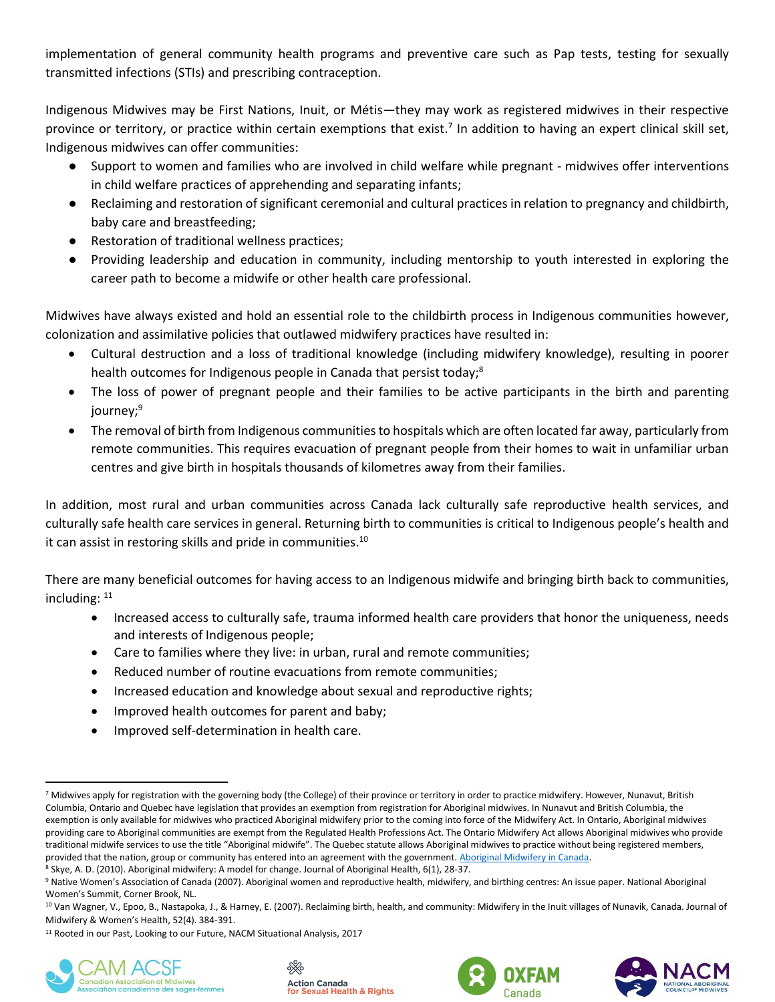implementation of general community health programs and preventive care such as Pap tests, testing for sexually transmitted infections (STIs) and prescribing contraception.

Indigenous Midwives may be First Nations, Inuit, or Métis—they may work as registered midwives in their respective province or territory, or practice within certain exemptions that exist.<sup>7</sup> In addition to having an expert clinical skill set, Indigenous midwives can offer communities:

- Support to women and families who are involved in child welfare while pregnant midwives offer interventions in child welfare practices of apprehending and separating infants;
- Reclaiming and restoration of significant ceremonial and cultural practices in relation to pregnancy and childbirth, baby care and breastfeeding;
- Restoration of traditional wellness practices;
- Providing leadership and education in community, including mentorship to youth interested in exploring the career path to become a midwife or other health care professional.

Midwives have always existed and hold an essential role to the childbirth process in Indigenous communities however, colonization and assimilative policies that outlawed midwifery practices have resulted in:

- Cultural destruction and a loss of traditional knowledge (including midwifery knowledge), resulting in poorer health outcomes for Indigenous people in Canada that persist today;<sup>8</sup>
- The loss of power of pregnant people and their families to be active participants in the birth and parenting journey; 9
- The removal of birth from Indigenous communities to hospitals which are often located far away, particularly from remote communities. This requires evacuation of pregnant people from their homes to wait in unfamiliar urban centres and give birth in hospitals thousands of kilometres away from their families.

In addition, most rural and urban communities across Canada lack culturally safe reproductive health services, and culturally safe health care services in general. Returning birth to communities is critical to Indigenous people's health and it can assist in restoring skills and pride in communities.<sup>10</sup>

There are many beneficial outcomes for having access to an Indigenous midwife and bringing birth back to communities, including:  $11$ 

- Increased access to culturally safe, trauma informed health care providers that honor the uniqueness, needs and interests of Indigenous people;
- Care to families where they live: in urban, rural and remote communities;
- Reduced number of routine evacuations from remote communities;
- Increased education and knowledge about sexual and reproductive rights;
- Improved health outcomes for parent and baby;
- Improved self-determination in health care.

<sup>&</sup>lt;sup>11</sup> Rooted in our Past, Looking to our Future, NACM Situational Analysis, 2017









 $\overline{a}$ <sup>7</sup> Midwives apply for registration with the governing body (the College) of their province or territory in order to practice midwifery. However, Nunavut, British Columbia, Ontario and Quebec have legislation that provides an exemption from registration for Aboriginal midwives. In Nunavut and British Columbia, the exemption is only available for midwives who practiced Aboriginal midwifery prior to the coming into force of the Midwifery Act. In Ontario, Aboriginal midwives providing care to Aboriginal communities are exempt from the Regulated Health Professions Act. The Ontario Midwifery Act allows Aboriginal midwives who provide traditional midwife services to use the title "Aboriginal midwife". The Quebec statute allows Aboriginal midwives to practice without being registered members, provided that the nation, group or community has entered into an agreement with the government[. Aboriginal Midwifery in Canada.](http://aboriginalmidwives.ca/book/export/html/2258)

<sup>8</sup> Skye, A. D. (2010). Aboriginal midwifery: A model for change. Journal of Aboriginal Health, 6(1), 28-37.

<sup>9</sup> Native Women's Association of Canada (2007). Aboriginal women and reproductive health, midwifery, and birthing centres: An issue paper. National Aboriginal Women's Summit, Corner Brook, NL.

<sup>10</sup> Van Wagner, V., Epoo, B., Nastapoka, J., & Harney, E. (2007). Reclaiming birth, health, and community: Midwifery in the Inuit villages of Nunavik, Canada. Journal of Midwifery & Women's Health, 52(4). 384-391.